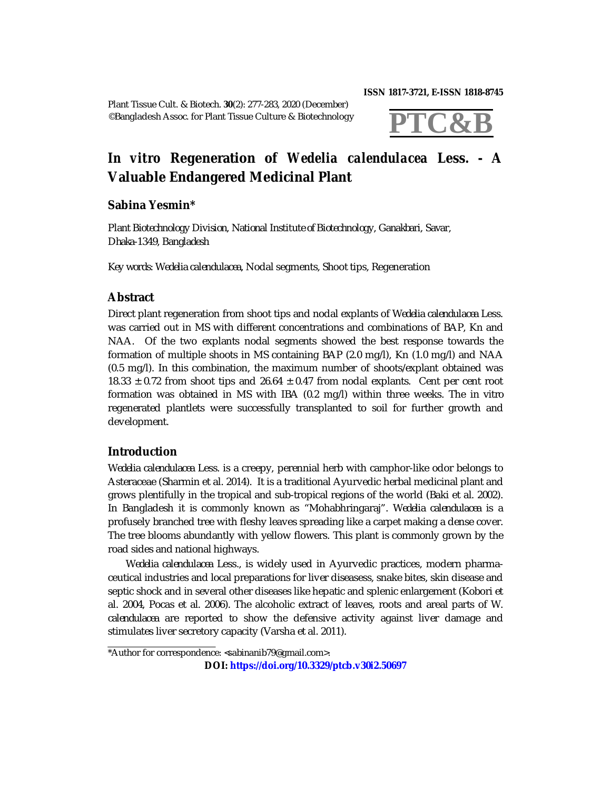**ISSN 1817-3721, E-ISSN 1818-8745** 

Plant Tissue Cult. & Biotech. **30**(2): 277-283, 2020 (December) ©Bangladesh Assoc. for Plant Tissue Culture & Biotechnology



# *In vitro* **Regeneration of** *Wedelia calendulacea* **Less. - A Valuable Endangered Medicinal Plant**

# **Sabina Yesmin\***

*Plant Biotechnology Division, National Institute of Biotechnology, Ganakbari, Savar, Dhaka-1349, Bangladesh*

*Key words*: *Wedelia calendulacea*, Nodal segments, Shoot tips, Regeneration

## **Abstract**

Direct plant regeneration from shoot tips and nodal explants of *Wedelia calendulacea* Less. was carried out in MS with different concentrations and combinations of BAP, Kn and NAA. Of the two explants nodal segments showed the best response towards the formation of multiple shoots in MS containing BAP (2.0 mg/l), Kn (1.0 mg/l) and NAA (0.5 mg/l). In this combination, the maximum number of shoots/explant obtained was 18.33  $\pm$  0.72 from shoot tips and 26.64  $\pm$  0.47 from nodal explants. Cent per cent root formation was obtained in MS with IBA (0.2 mg/l) within three weeks. The *in vitro* regenerated plantlets were successfully transplanted to soil for further growth and development.

## **Introduction**

*Wedelia calendulacea* Less. is a creepy, perennial herb with camphor-like odor belongs to Asteraceae (Sharmin et al. 2014). It is a traditional Ayurvedic herbal medicinal plant and grows plentifully in the tropical and sub-tropical regions of the world (Baki et al. 2002). In Bangladesh it is commonly known as "Mohabhringaraj". *Wedelia calendulacea* is a profusely branched tree with fleshy leaves spreading like a carpet making a dense cover. The tree blooms abundantly with yellow flowers. This plant is commonly grown by the road sides and national highways.

*Wedelia calendulacea* Less., is widely used in Ayurvedic practices, modern pharmaceutical industries and local preparations for liver diseasess, snake bites, skin disease and septic shock and in several other diseases like hepatic and splenic enlargement (Kobori et al. 2004, Pocas et al. 2006). The alcoholic extract of leaves, roots and areal parts of *W. calendulacea* are reported to show the defensive activity against liver damage and stimulates liver secretory capacity (Varsha et al. 2011).

<sup>\*</sup>Author for correspondence: [<sabinanib79@gmail.com](mailto:sabinanib79@gmail.com)>.

**DOI: <https://doi.org/10.3329/ptcb.v30i2.50697>**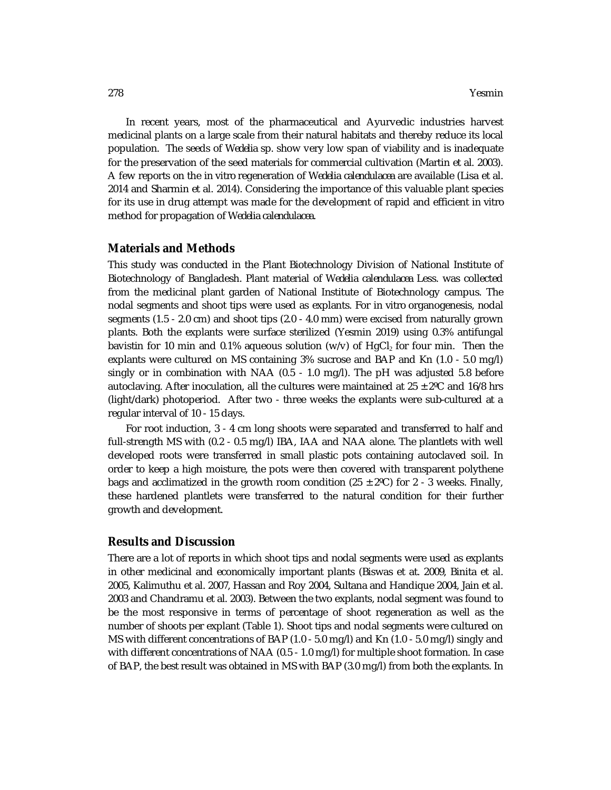In recent years, most of the pharmaceutical and Ayurvedic industries harvest medicinal plants on a large scale from their natural habitats and thereby reduce its local population. The seeds of *Wedelia* sp. show very low span of viability and is inadequate for the preservation of the seed materials for commercial cultivation (Martin et al. 2003). A few reports on the *in vitro* regeneration of *Wedelia calendulacea* are available (Lisa et al. 2014 and Sharmin et al. 2014). Considering the importance of this valuable plant species for its use in drug attempt was made for the development of rapid and efficient *in vitro* method for propagation of *Wedelia calendulacea*.

#### **Materials and Methods**

This study was conducted in the Plant Biotechnology Division of National Institute of Biotechnology of Bangladesh. Plant material of *Wedelia calendulacea* Less. was collected from the medicinal plant garden of National Institute of Biotechnology campus. The nodal segments and shoot tips were used as explants. For *in vitro* organogenesis, nodal segments (1.5 - 2.0 cm) and shoot tips (2.0 - 4.0 mm) were excised from naturally grown plants. Both the explants were surface sterilized (Yesmin 2019) using 0.3% antifungal bavistin for 10 min and 0.1% aqueous solution ( $w/v$ ) of HgCl<sub>2</sub> for four min. Then the explants were cultured on MS containing 3% sucrose and BAP and Kn (1.0 - 5.0 mg/l) singly or in combination with NAA (0.5 - 1.0 mg/l). The pH was adjusted 5.8 before autoclaving. After inoculation, all the cultures were maintained at  $25 \pm 2^{\circ}$ C and 16/8 hrs (light/dark) photoperiod. After two - three weeks the explants were sub-cultured at a regular interval of 10 - 15 days.

For root induction, 3 - 4 cm long shoots were separated and transferred to half and full-strength MS with (0.2 - 0.5 mg/l) IBA, IAA and NAA alone. The plantlets with well developed roots were transferred in small plastic pots containing autoclaved soil. In order to keep a high moisture, the pots were then covered with transparent polythene bags and acclimatized in the growth room condition (25  $\pm$  2°C) for 2 - 3 weeks. Finally, these hardened plantlets were transferred to the natural condition for their further growth and development.

#### **Results and Discussion**

There are a lot of reports in which shoot tips and nodal segments were used as explants in other medicinal and economically important plants (Biswas et at. 2009, Binita et al. 2005, Kalimuthu et al. 2007, Hassan and Roy 2004, Sultana and Handique 2004, Jain et al. 2003 and Chandramu et al. 2003). Between the two explants, nodal segment was found to be the most responsive in terms of percentage of shoot regeneration as well as the number of shoots per explant (Table 1). Shoot tips and nodal segments were cultured on MS with different concentrations of BAP (1.0 - 5.0 mg/l) and Kn (1.0 - 5.0 mg/l) singly and with different concentrations of NAA (0.5 - 1.0 mg/l) for multiple shoot formation. In case of BAP, the best result was obtained in MS with BAP (3.0 mg/l) from both the explants. In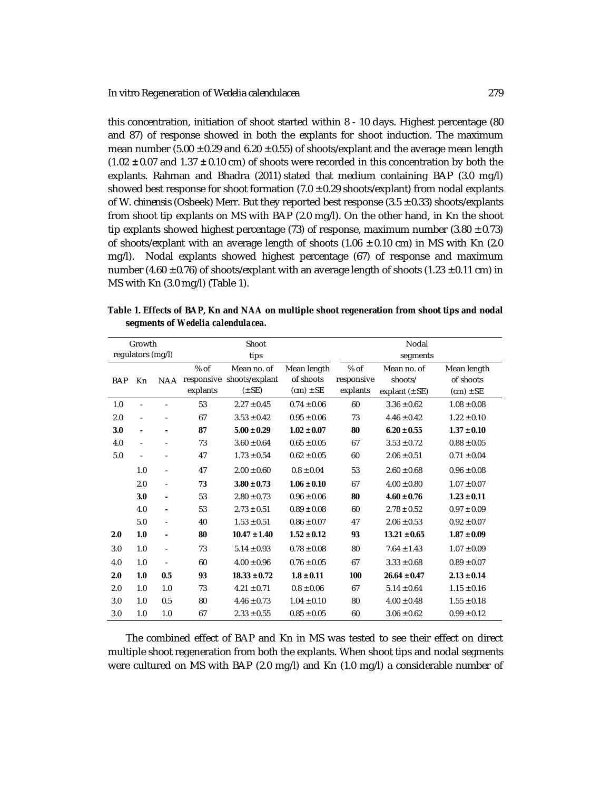this concentration, initiation of shoot started within 8 - 10 days. Highest percentage (80 and 87) of response showed in both the explants for shoot induction. The maximum mean number (5.00  $\pm$  0.29 and 6.20  $\pm$  0.55) of shoots/explant and the average mean length (1.02 **±** 0.07 and 1.37 **±** 0.10 cm) of shoots were recorded in this concentration by both the explants. Rahman and Bhadra (2011) stated that medium containing BAP (3.0 mg/l) showed best response for shoot formation  $(7.0 \pm 0.29 \text{ shoots/explant})$  from nodal explants of *W. chinensis* (Osbeek) Merr. But they reported best response (3.5 ± 0.33) shoots/explants from shoot tip explants on MS with BAP (2.0 mg/l). On the other hand, in Kn the shoot tip explants showed highest percentage (73) of response, maximum number (3.80  $\pm$  0.73) of shoots/explant with an average length of shoots  $(1.06 \pm 0.10 \text{ cm})$  in MS with Kn  $(2.0 \text{ cm})$ mg/l). Nodal explants showed highest percentage (67) of response and maximum number (4.60  $\pm$  0.76) of shoots/explant with an average length of shoots (1.23  $\pm$  0.11 cm) in MS with Kn (3.0 mg/l) (Table 1).

| Growth            |                |                          |                    | Shoot                                                  |                                           | Nodal                            |                                              |                                           |
|-------------------|----------------|--------------------------|--------------------|--------------------------------------------------------|-------------------------------------------|----------------------------------|----------------------------------------------|-------------------------------------------|
| regulators (mg/l) |                |                          |                    | tips                                                   |                                           | segments                         |                                              |                                           |
| <b>BAP</b>        | Kn             | <b>NAA</b>               | $%$ of<br>explants | Mean no. of<br>responsive shoots/explant<br>$(\pm$ SE) | Mean length<br>of shoots<br>$(cm) \pm SE$ | $%$ of<br>responsive<br>explants | Mean no. of<br>shoots/<br>explant $(\pm$ SE) | Mean length<br>of shoots<br>$(cm) \pm SE$ |
| 1.0               |                |                          | 53                 | $2.27 \pm 0.45$                                        | $0.74 \pm 0.06$                           | 60                               | $3.36 \pm 0.62$                              | $1.08 \pm 0.08$                           |
| 2.0               |                |                          | 67                 | $3.53 \pm 0.42$                                        | $0.95 \pm 0.06$                           | 73                               | $4.46 \pm 0.42$                              | $1.22 \pm 0.10$                           |
| 3.0               | ٠              | $\overline{a}$           | 87                 | $5.00 \pm 0.29$                                        | $1.02 \pm 0.07$                           | 80                               | $6.20 \pm 0.55$                              | $1.37 \pm 0.10$                           |
| 4.0               | $\blacksquare$ |                          | 73                 | $3.60 \pm 0.64$                                        | $0.65 \pm 0.05$                           | 67                               | $3.53 \pm 0.72$                              | $0.88 \pm 0.05$                           |
| 5.0               |                |                          | 47                 | $1.73 \pm 0.54$                                        | $0.62 \pm 0.05$                           | 60                               | $2.06 \pm 0.51$                              | $0.71 \pm 0.04$                           |
|                   | 1.0            | $\blacksquare$           | 47                 | $2.00 \pm 0.60$                                        | $0.8 \pm 0.04$                            | 53                               | $2.60 \pm 0.68$                              | $0.96 \pm 0.08$                           |
|                   | 2.0            | $\overline{\phantom{a}}$ | 73                 | $3.80 \pm 0.73$                                        | $1.06 \pm 0.10$                           | 67                               | $4.00 \pm 0.80$                              | $1.07 \pm 0.07$                           |
|                   | 3.0            | $\overline{a}$           | 53                 | $2.80 \pm 0.73$                                        | $0.96 \pm 0.06$                           | 80                               | $4.60 \pm 0.76$                              | $1.23 \pm 0.11$                           |
|                   | 4.0            | ä,                       | 53                 | $2.73 \pm 0.51$                                        | $0.89 \pm 0.08$                           | 60                               | $2.78 \pm 0.52$                              | $0.97 \pm 0.09$                           |
|                   | 5.0            | ä,                       | 40                 | $1.53 \pm 0.51$                                        | $0.86 \pm 0.07$                           | 47                               | $2.06 \pm 0.53$                              | $0.92 \pm 0.07$                           |
| 2.0               | 1.0            | ۰                        | 80                 | $10.47 \pm 1.40$                                       | $1.52 \pm 0.12$                           | 93                               | $13.21 \pm 0.65$                             | $1.87 \pm 0.09$                           |
| 3.0               | 1.0            | ä,                       | 73                 | $5.14 \pm 0.93$                                        | $0.78 \pm 0.08$                           | 80                               | $7.64 \pm 1.43$                              | $1.07 \pm 0.09$                           |
| 4.0               | 1.0            | $\overline{a}$           | 60                 | $4.00 \pm 0.96$                                        | $0.76 \pm 0.05$                           | 67                               | $3.33 \pm 0.68$                              | $0.89 \pm 0.07$                           |
| 2.0               | 1.0            | 0.5                      | 93                 | $18.33 \pm 0.72$                                       | $1.8 \pm 0.11$                            | 100                              | $26.64 \pm 0.47$                             | $2.13 \pm 0.14$                           |
| 2.0               | 1.0            | 1.0                      | 73                 | $4.21 \pm 0.71$                                        | $0.8 \pm 0.06$                            | 67                               | $5.14 \pm 0.64$                              | $1.15 \pm 0.16$                           |
| 3.0               | 1.0            | 0.5                      | 80                 | $4.46 \pm 0.73$                                        | $1.04 \pm 0.10$                           | 80                               | $4.00 \pm 0.48$                              | $1.55 \pm 0.18$                           |
| 3.0               | 1.0            | 1.0                      | 67                 | $2.33 \pm 0.55$                                        | $0.85 \pm 0.05$                           | 60                               | $3.06 \pm 0.62$                              | $0.99 \pm 0.12$                           |

**Table 1. Effects of BAP, Kn and NAA on multiple shoot regeneration from shoot tips and nodal segments of** *Wedelia calendulacea.*

The combined effect of BAP and Kn in MS was tested to see their effect on direct multiple shoot regeneration from both the explants. When shoot tips and nodal segments were cultured on MS with BAP (2.0 mg/l) and Kn (1.0 mg/l) a considerable number of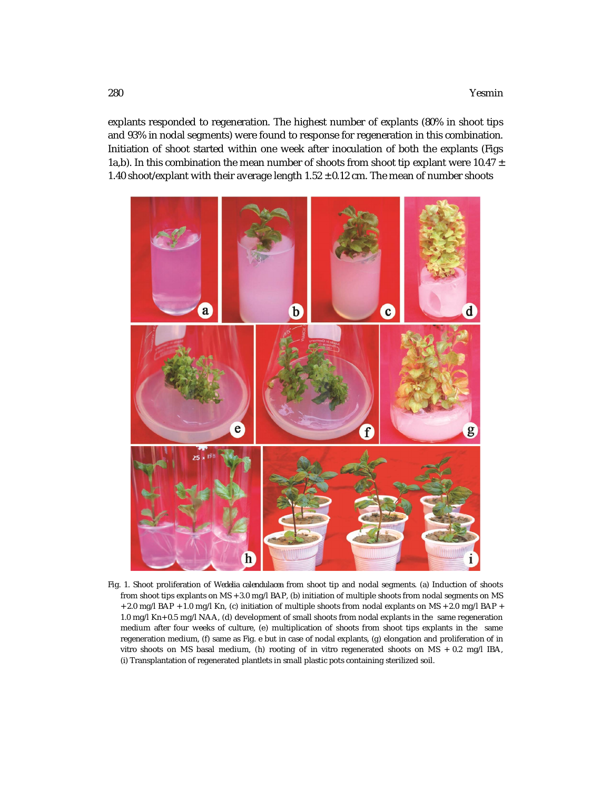explants responded to regeneration. The highest number of explants (80% in shoot tips and 93% in nodal segments) were found to response for regeneration in this combination. Initiation of shoot started within one week after inoculation of both the explants (Figs 1a,b). In this combination the mean number of shoots from shoot tip explant were 10.47  $\pm$ 1.40 shoot/explant with their average length  $1.52 \pm 0.12$  cm. The mean of number shoots



Fig. 1. Shoot proliferation of *Wedelia calendulacea* from shoot tip and nodal segments. (a) Induction of shoots from shoot tips explants on MS + 3.0 mg/l BAP, (b) initiation of multiple shoots from nodal segments on MS + 2.0 mg/l BAP + 1.0 mg/l Kn, (c) initiation of multiple shoots from nodal explants on MS + 2.0 mg/l BAP + 1.0 mg/l Kn+ 0.5 mg/l NAA, (d) development of small shoots from nodal explants in the same regeneration medium after four weeks of culture, (e) multiplication of shoots from shoot tips explants in the same regeneration medium, (f) same as Fig. e but in case of nodal explants, (g) elongation and proliferation of *in vitro* shoots on MS basal medium, (h) rooting of *in vitro* regenerated shoots on MS + 0.2 mg/l IBA, (i) Transplantation of regenerated plantlets in small plastic pots containing sterilized soil.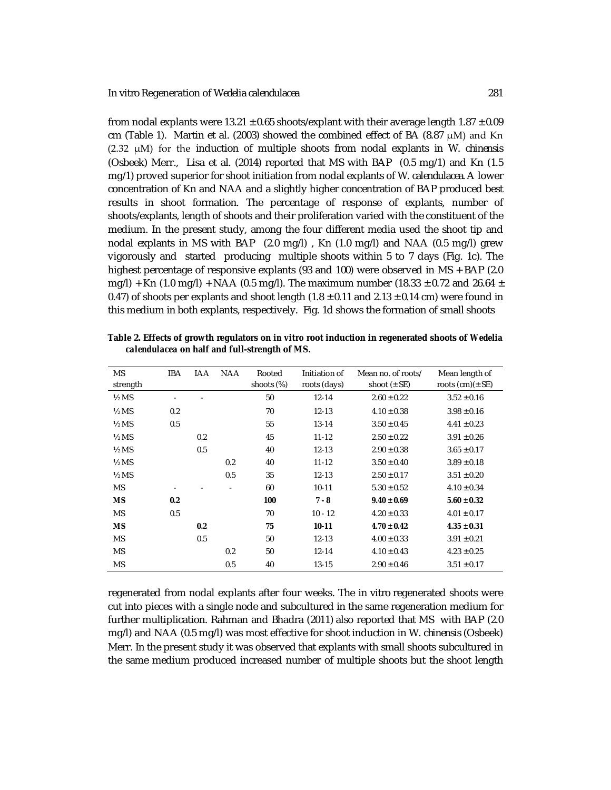from nodal explants were  $13.21 \pm 0.65$  shoots/explant with their average length  $1.87 \pm 0.09$ cm (Table 1). Martin et al. (2003) showed the combined effect of BA (8.87  $\mu$ M) and Kn (2.32 μM) for the induction of multiple shoots from nodal explants in *W. chinensis* (Osbeek) Merr., Lisa et al. (2014) reported that MS with BAP (0.5 mg/1) and Kn (1.5 mg/1) proved superior for shoot initiation from nodal explants of *W. calendulacea*. A lower concentration of Kn and NAA and a slightly higher concentration of BAP produced best results in shoot formation. The percentage of response of explants, number of shoots/explants, length of shoots and their proliferation varied with the constituent of the medium. In the present study, among the four different media used the shoot tip and nodal explants in MS with BAP (2.0 mg/l) , Kn (1.0 mg/l) and NAA (0.5 mg/l) grew vigorously and started producing multiple shoots within 5 to 7 days (Fig. 1c). The highest percentage of responsive explants (93 and 100) were observed in MS + BAP (2.0 mg/l) + Kn (1.0 mg/l) + NAA (0.5 mg/l). The maximum number (18.33  $\pm$  0.72 and 26.64  $\pm$ 0.47) of shoots per explants and shoot length  $(1.8 \pm 0.11$  and  $2.13 \pm 0.14$  cm) were found in this medium in both explants, respectively. Fig. 1d shows the formation of small shoots

| <b>MS</b><br>strength | <b>IBA</b> | <b>IAA</b> | <b>NAA</b> | Rooted<br>shoots (%) | Initiation of<br>roots (days) | Mean no. of roots/<br>shoot $(\pm$ SE) | Mean length of<br>roots $(cm)(± SE)$ |
|-----------------------|------------|------------|------------|----------------------|-------------------------------|----------------------------------------|--------------------------------------|
| $\frac{1}{2}$ MS      | ٠          |            |            | 50                   | $12 - 14$                     | $2.60 \pm 0.22$                        | $3.52 \pm 0.16$                      |
| $\frac{1}{2}$ MS      | 0.2        |            |            | 70                   | $12 - 13$                     | $4.10 \pm 0.38$                        | $3.98 \pm 0.16$                      |
| $\frac{1}{2}$ MS      | 0.5        |            |            | 55                   | $13 - 14$                     | $3.50 \pm 0.45$                        | $4.41 \pm 0.23$                      |
| $\frac{1}{2}$ MS      |            | 0.2        |            | 45                   | $11 - 12$                     | $2.50 \pm 0.22$                        | $3.91 \pm 0.26$                      |
| $\frac{1}{2}$ MS      |            | 0.5        |            | 40                   | $12 - 13$                     | $2.90 \pm 0.38$                        | $3.65 \pm 0.17$                      |
| $\frac{1}{2}$ MS      |            |            | 0.2        | 40                   | $11 - 12$                     | $3.50 \pm 0.40$                        | $3.89 \pm 0.18$                      |
| $\frac{1}{2}$ MS      |            |            | 0.5        | 35                   | $12 - 13$                     | $2.50 \pm 0.17$                        | $3.51 \pm 0.20$                      |
| <b>MS</b>             |            |            |            | 60                   | $10 - 11$                     | $5.30 \pm 0.52$                        | $4.10 \pm 0.34$                      |
| <b>MS</b>             | 0.2        |            |            | 100                  | $7 - 8$                       | $9.40 \pm 0.69$                        | $5.60 \pm 0.32$                      |
| <b>MS</b>             | 0.5        |            |            | 70                   | $10 - 12$                     | $4.20 \pm 0.33$                        | $4.01 \pm 0.17$                      |
| <b>MS</b>             |            | 0.2        |            | 75                   | $10 - 11$                     | $4.70 \pm 0.42$                        | $4.35 \pm 0.31$                      |
| <b>MS</b>             |            | 0.5        |            | 50                   | $12 - 13$                     | $4.00 \pm 0.33$                        | $3.91 \pm 0.21$                      |
| <b>MS</b>             |            |            | 0.2        | 50                   | $12 - 14$                     | $4.10 \pm 0.43$                        | $4.23 \pm 0.25$                      |
| <b>MS</b>             |            |            | 0.5        | 40                   | $13 - 15$                     | $2.90 \pm 0.46$                        | $3.51 \pm 0.17$                      |

**Table 2. Effects of growth regulators on** *in vitro* **root induction in regenerated shoots of** *Wedelia calendulacea* **on half and full-strength of MS.**

regenerated from nodal explants after four weeks. The *in vitro* regenerated shoots were cut into pieces with a single node and subcultured in the same regeneration medium for further multiplication. Rahman and Bhadra (2011) also reported that MS with BAP (2.0 mg/l) and NAA (0.5 mg/l) was most effective for shoot induction in *W. chinensis* (Osbeek) Merr. In the present study it was observed that explants with small shoots subcultured in the same medium produced increased number of multiple shoots but the shoot length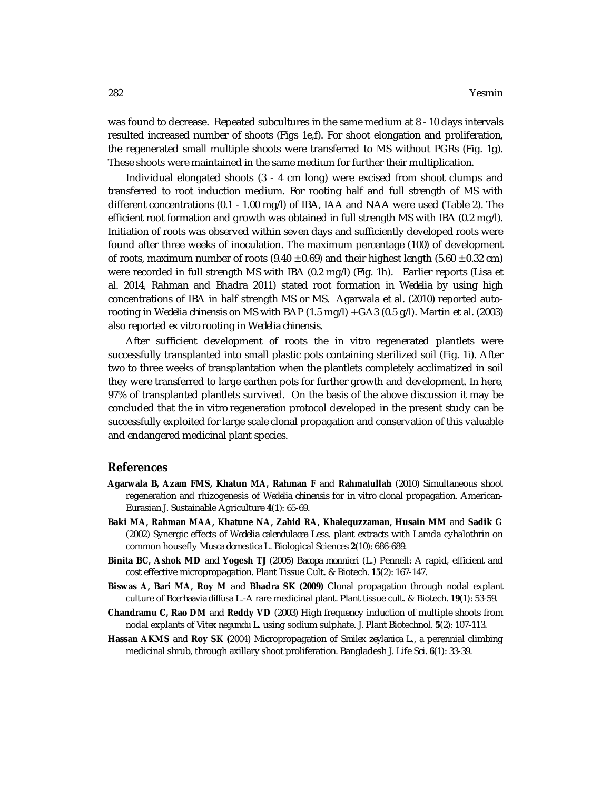was found to decrease. Repeated subcultures in the same medium at 8 - 10 days intervals resulted increased number of shoots (Figs 1e,f). For shoot elongation and proliferation, the regenerated small multiple shoots were transferred to MS without PGRs (Fig. 1g). These shoots were maintained in the same medium for further their multiplication.

Individual elongated shoots (3 - 4 cm long) were excised from shoot clumps and transferred to root induction medium. For rooting half and full strength of MS with different concentrations (0.1 - 1.00 mg/l) of IBA, IAA and NAA were used (Table 2). The efficient root formation and growth was obtained in full strength MS with IBA (0.2 mg/l). Initiation of roots was observed within seven days and sufficiently developed roots were found after three weeks of inoculation. The maximum percentage (100) of development of roots, maximum number of roots (9.40  $\pm$  0.69) and their highest length (5.60  $\pm$  0.32 cm) were recorded in full strength MS with IBA (0.2 mg/l) (Fig. 1h). Earlier reports (Lisa et al. 2014, Rahman and Bhadra 2011) stated root formation in *Wedelia* by using high concentrations of IBA in half strength MS or MS. Agarwala et al. (2010) reported autorooting in *Wedelia chinensis* on MS with BAP (1.5 mg/l) + GA3 (0.5 g/l). Martin et al. (2003) also reported *ex vitro* rooting in *Wedelia chinensis.* 

After sufficient development of roots the *in vitro* regenerated plantlets were successfully transplanted into small plastic pots containing sterilized soil (Fig. 1i). After two to three weeks of transplantation when the plantlets completely acclimatized in soil they were transferred to large earthen pots for further growth and development. In here, 97% of transplanted plantlets survived. On the basis of the above discussion it may be concluded that the *in vitro* regeneration protocol developed in the present study can be successfully exploited for large scale clonal propagation and conservation of this valuable and endangered medicinal plant species.

#### **References**

- **Agarwala B, Azam FMS, Khatun MA, Rahman F** and **Rahmatullah** (2010) Simultaneous shoot regeneration and rhizogenesis of *Wedelia chinensis* for *in vitro* clonal propagation. American-Eurasian J. Sustainable Agriculture **4**(1): 65-69.
- **Baki MA, Rahman MAA, Khatune NA, Zahid RA, Khalequzzaman, Husain MM** and **Sadik G**  (2002) Synergic effects of *Wedelia calendulacea* Less. plant extracts with Lamda cyhalothrin on common housefly *Musca domestica* L. Biological Sciences **2**(10): 686-689.
- **Binita BC, Ashok MD** and **Yogesh TJ** (2005) *Bacopa monnieri* (L.) Pennell: A rapid, efficient and cost effective micropropagation. Plant Tissue Cult. & Biotech. **15**(2): 167-147.
- **Biswas A, Bari MA, Roy M** and **Bhadra SK (2009)** Clonal propagation through nodal explant culture of *Boerhaavia diffusa* L.-A rare medicinal plant. Plant tissue cult. & Biotech. **19**(1): 53-59.
- **Chandramu C, Rao DM** and **Reddy VD** (2003) High frequency induction of multiple shoots from nodal explants of *Vitex negundu* L. using sodium sulphate. J. Plant Biotechnol. **5**(2): 107-113.
- **Hassan AKMS** and **Roy SK (**2004) Micropropagation of *Smilex zeylanica* L., a perennial climbing medicinal shrub, through axillary shoot proliferation. Bangladesh J. Life Sci. **6**(1): 33-39.